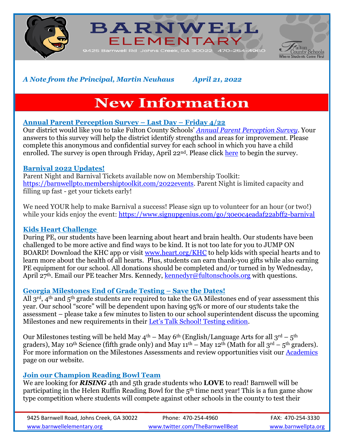

**BARNWELL** ELEMENTARY



*A Note from the Principal, Martin Neuhaus April 21, 2022*

# **New Information**

## **Annual Parent Perception Survey – Last Day – Friday 4/22**

Our district would like you to take Fulton County Schools' *[Annual Parent Perception Survey](https://fultonschools.az1.qualtrics.com/jfe/form/SV_1LF982ks8TYKf1I)*. Your answers to this survey will help the district identify strengths and areas for improvement. Please complete this anonymous and confidential survey for each school in which you have a child enrolled. The survey is open through Friday, April 22<sup>nd</sup>. Please click [here](https://fultonschools.az1.qualtrics.com/jfe/form/SV_1LF982ks8TYKf1I) to begin the survey.

## **Barnival 2022 Updates!**

Parent Night and Barnival Tickets available now on Membership Toolkit: [https://barnwellpto.membershiptoolkit.com/2022events.](https://nam11.safelinks.protection.outlook.com/?url=http%3A%2F%2Furl4609.membershiptoolkit.com%2Fls%2Fclick%3Fupn%3Df60eosFeuvHb8qFxV9Ij7hwVpiYBWMzvldjPFbDtAgM4-2FFHzOq2NiTpvvzZYlZp8H9AuZ1RTmEcMIVmzxzQv5Q-3D-3Do8Jq_Urq2pMvY4H-2FVAPs5t3vqX0rr4ooeQ33sToWCgTqnNFZB1roE8w-2FWI9meng1Ztute-2B5nFffrNwJf5Ah6uSESw21RQ6BhZIo3ISd9aJSJzCQLtE4NHSV6lDfUIp3uoYSldcM5SQABJfK7RDx8Zna1zfLWvi3LQaKThgWZDjewRjLTchcYdCxAwDgFfWt-2FuytTtT6B7jCZSU5Mdc9vFhnxOL0RRNvGcs-2Bb7FZ-2FfDQsQbRsKDJD3pRG2JdC8-2FxmNGaWwV79BIgvbqYIJ22WkBattfEPyxrtKPTP8feaGFaB3GV1ywMBKCqrFEOeM-2FrEJZZcyJqzgYNRTQDoDXNSl1AAaUFJcJAvB4CkbL6OnBASRCP9WZSB1JzdbPqBNNy7wSsjz&data=04%7C01%7Cagertons%40fultonschools.org%7C9e4938840dc441b23ca708da1d702ea3%7C0cdcb19881694b70ba9fda7e3ba700c2%7C1%7C0%7C637854664934459899%7CUnknown%7CTWFpbGZsb3d8eyJWIjoiMC4wLjAwMDAiLCJQIjoiV2luMzIiLCJBTiI6Ik1haWwiLCJXVCI6Mn0%3D%7C3000&sdata=3RwxPyIRST8DXUZ8bbmqENJhzAznuocBfLXq6bD7Sjk%3D&reserved=0) Parent Night is limited capacity and filling up fast - get your tickets early!

We need YOUR help to make Barnival a success! Please sign up to volunteer for an hour (or two!) while your kids enjoy the event: [https://www.signupgenius.com/go/30e0c4eadaf22abff2-barnival](https://nam11.safelinks.protection.outlook.com/?url=http%3A%2F%2Furl4609.membershiptoolkit.com%2Fls%2Fclick%3Fupn%3DiKpa70ntmsIg0j801x7s-2B-2BYq3fo4AD0NzxfY7D-2FQjfR5jQ0XAmQ-2BCbLtIh-2Bs7YbmjOnYpc5Behu8SUrIGBi4xy7mF4B7mIzVFkMnA-2FwkndA-3D5rgB_Urq2pMvY4H-2FVAPs5t3vqX0rr4ooeQ33sToWCgTqnNFZB1roE8w-2FWI9meng1Ztute-2B5nFffrNwJf5Ah6uSESw21RQ6BhZIo3ISd9aJSJzCQLtE4NHSV6lDfUIp3uoYSldcM5SQABJfK7RDx8Zna1zfLWvi3LQaKThgWZDjewRjLTchcYdCxAwDgFfWt-2FuytTtT6B7jCZSU5Mdc9vFhnxOL29dESqSsIVci5snibe-2BHdb7SlPhQ-2BLervLQjEKhUmilqD0mL5-2B9Sr5TG7GPERM4Ae0ZmSLt6dzCFtPM4Wckhcgf5uhWr-2BHem4J7FeSptMYmvDmDb0XlRELbEVxmDef5nJsYk4lbP0w-2B8bOntfMWYvUwZp114YTI2LZCMlpRYmX8&data=04%7C01%7Cagertons%40fultonschools.org%7C9e4938840dc441b23ca708da1d702ea3%7C0cdcb19881694b70ba9fda7e3ba700c2%7C1%7C0%7C637854664934459899%7CUnknown%7CTWFpbGZsb3d8eyJWIjoiMC4wLjAwMDAiLCJQIjoiV2luMzIiLCJBTiI6Ik1haWwiLCJXVCI6Mn0%3D%7C3000&sdata=ovSc672Ls2ITapqXUsjt%2BN51hK%2BmHhtpxAA%2B0f9mNeM%3D&reserved=0)

## **Kids Heart Challenge**

During PE, our students have been learning about heart and brain health. Our students have been challenged to be more active and find ways to be kind. It is not too late for you to JUMP ON BOARD! Download the KHC app or visit [www.heart.org/KHC](https://nam11.safelinks.protection.outlook.com/?url=http%3A%2F%2Fwww.heart.org%2FKHC&data=05%7C01%7CAgertonS%40fultonschools.org%7C3241d09d9158410e5ec408da22402491%7C0cdcb19881694b70ba9fda7e3ba700c2%7C1%7C0%7C637859956125019854%7CUnknown%7CTWFpbGZsb3d8eyJWIjoiMC4wLjAwMDAiLCJQIjoiV2luMzIiLCJBTiI6Ik1haWwiLCJXVCI6Mn0%3D%7C3000%7C%7C%7C&sdata=FAnRdcQGrpaOq4i049W%2FyPsdSwp70%2F5jLvGp1iTkWt0%3D&reserved=0) to help kids with special hearts and to learn more about the health of all hearts. Plus, students can earn thank-you gifts while also earning PE equipment for our school. All donations should be completed and/or turned in by Wednesday, April 27<sup>th</sup>. Email our PE teacher Mrs. Kennedy, [kennedyr@fultonschools.org](mailto:kennedyr@fultonschools.org) with questions.

## **Georgia Milestones End of Grade Testing – Save the Dates!**

All  $3^{rd}$ , 4<sup>th</sup> and  $5^{th}$  grade students are required to take the GA Milestones end of year assessment this year. Our school "score" will be dependent upon having 95% or more of our students take the assessment – please take a few minutes to listen to our school superintendent discuss the upcoming Milestones and new requirements in their [Let's Talk School! Testing edition](https://www.fultonschools.org/site/default.aspx?PageType=3&DomainID=8163&ModuleInstanceID=7115&ViewID=6446EE88-D30C-497E-9316-3F8874B3E108&RenderLoc=0&FlexDataID=128843&PageID=23026).

Our Milestones testing will be held May  $4<sup>th</sup>$  – May 6<sup>th</sup> (English/Language Arts for all  $3<sup>rd</sup>$  –  $5<sup>th</sup>$ graders), May 10<sup>th</sup> Science (fifth grade only) and May 11<sup>th</sup> – May 12<sup>th</sup> (Math for all 3<sup>rd</sup> – 5<sup>th</sup> graders). For more information on the Milestones Assessments and review opportunities visit our [Academics](https://www.fultonschools.org/domain/6077)  page on our website.

## **Join our Champion Reading Bowl Team**

We are looking for *RISING* 4th and 5th grade students who **LOVE** to read! Barnwell will be participating in the Helen Ruffin Reading Bowl for the 5<sup>th</sup> time next year! This is a fun game show type competition where students will compete against other schools in the county to test their

| 9425 Barnwell Road, Johns Creek, GA 30022 | Phone: 470-254-4960             | FAX: 470-254-3330   |
|-------------------------------------------|---------------------------------|---------------------|
| www.barnwellelementary.org                | www.twitter.com/TheBarnwellBeat | www.barnwellpta.org |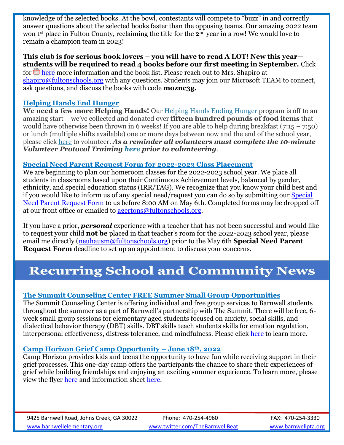knowledge of the selected books. At the bowl, contestants will compete to "buzz" in and correctly answer questions about the selected books faster than the opposing teams. Our amazing 2022 team won 1st place in Fulton County, reclaiming the title for the 2nd year in a row! We would love to remain a champion team in 2023!

## **This club is for serious book lovers – you will have to read A LOT! New this year students will be required to read 4 books before our first meeting in September.** Click

for **here** more information and the book list. Please reach out to Mrs. Shapiro at [shapiro@fultonschools.org](mailto:shapiro@fultonschools.org) with any questions. Students may join our Microsoft TEAM to connect, ask questions, and discuss the books with code **moznc3g.**

## **Helping Hands End Hunger**

**We need a few more Helping Hands!** Our [Helping Hands Ending Hunger](https://nam11.safelinks.protection.outlook.com/?url=https%3A%2F%2Fwww.helpinghandsendinghunger.org%2F&data=04%7C01%7CAgertonS%40fultonschools.org%7C14a72855f9c44945e66508da0b33f4fa%7C0cdcb19881694b70ba9fda7e3ba700c2%7C1%7C0%7C637834615019239465%7CUnknown%7CTWFpbGZsb3d8eyJWIjoiMC4wLjAwMDAiLCJQIjoiV2luMzIiLCJBTiI6Ik1haWwiLCJXVCI6Mn0%3D%7C3000&sdata=o6UbnBrhHMG6HIgSOoIWjCu4uqCb3J8CT3y%2FzjeNolg%3D&reserved=0) program is off to an amazing start – we've collected and donated over **fifteen hundred pounds of food items** that would have otherwise been thrown in 6 weeks! If you are able to help during breakfast  $(7:15 - 7:50)$ or lunch (multiple shifts available) one or more days between now and the end of the school year, please click [here](https://nam11.safelinks.protection.outlook.com/?url=https%3A%2F%2Fwww.signupgenius.com%2Fgo%2F30E0F4AA5AC22A2F58-helping1&data=04%7C01%7CAgertonS%40fultonschools.org%7C14a72855f9c44945e66508da0b33f4fa%7C0cdcb19881694b70ba9fda7e3ba700c2%7C1%7C0%7C637834615019239465%7CUnknown%7CTWFpbGZsb3d8eyJWIjoiMC4wLjAwMDAiLCJQIjoiV2luMzIiLCJBTiI6Ik1haWwiLCJXVCI6Mn0%3D%7C3000&sdata=SNnP8F1bQVJjFd2DNZ0GUGPenkLv9tuDcNaB1XfTrKg%3D&reserved=0) to volunteer. *As a reminder all volunteers must complete the 10-minute Volunteer Protocol Training [here](https://www.fultonschools.org/Page/899) prior to volunteering.*

## **Special Need Parent Request Form for 2022-2023 Class Placement**

We are beginning to plan our homeroom classes for the 2022-2023 school year. We place all students in classrooms based upon their Continuous Achievement levels, balanced by gender, ethnicity, and special education status (IRR/TAG). We recognize that you know your child best and if you would like to inform us of any special need/request you can do so by submitting our [Special](https://www.fultonschools.org/cms/lib/GA50000114/Centricity/Domain/6069/Barnwell%20Special%20Need%20Parent%20Request%202022.2023.pdf)  [Need Parent Request Form](https://www.fultonschools.org/cms/lib/GA50000114/Centricity/Domain/6069/Barnwell%20Special%20Need%20Parent%20Request%202022.2023.pdf) to us before 8:00 AM on May 6th. Completed forms may be dropped off at our front office or emailed to [agertons@fultonschools.org.](mailto:agertons@fultonschools.org)

If you have a prior, *personal* experience with a teacher that has not been successful and would like to request your child **not be** placed in that teacher's room for the 2022-2023 school year, please email me directly [\(neuhausm@fultonschools.org\)](mailto:neuhausm@fultonschools.org) prior to the May 6th **Special Need Parent Request Form** deadline to set up an appointment to discuss your concerns.

## **Recurring School and Community News**

## **The Summit Counseling Center FREE Summer Small Group Opportunities**

The Summit Counseling Center is offering individual and free group services to Barnwell students throughout the summer as a part of Barnwell's partnership with The Summit. There will be free, 6 week small group sessions for elementary aged students focused on anxiety, social skills, and dialectical behavior therapy (DBT) skills. DBT skills teach students skills for emotion regulation, interpersonal effectiveness, distress tolerance, and mindfulness. Please click [here](https://www.fultonschools.org/cms/lib/GA50000114/Centricity/Domain/6069/Summit_Summer2022_Flyer_School-Based_Elementary%20School.pdf) to learn more.

## **Camp Horizon Grief Camp Opportunity – June 18th, 2022**

Camp Horizon provides kids and teens the opportunity to have fun while receiving support in their grief processes. This one-day camp offers the participants the chance to share their experiences of grief while building friendships and enjoying an exciting summer experience. To learn more, please view the flyer [here](https://www.fultonschools.org/cms/lib/GA50000114/Centricity/Domain/6069/CH%20Flyer%20Basic.jpg) and information sheet [here.](https://www.fultonschools.org/cms/lib/GA50000114/Centricity/Domain/6069/Camp%20Horizon%202022.pdf)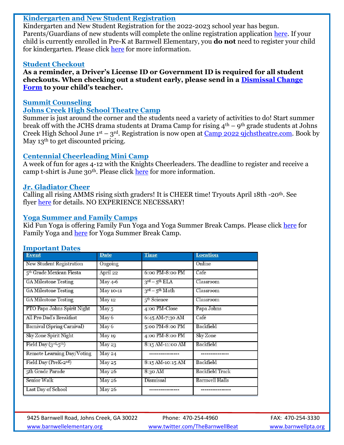#### **Kindergarten and New Student Registration**

Kindergarten and New Student Registration for the 2022-2023 school year has begun. Parents/Guardians of new students will complete the online registration application [here.](https://www.fultonschools.org/enrollment) If your child is currently enrolled in Pre-K at Barnwell Elementary, you **do not** need to register your child for kindergarten. Please click [here](https://www.fultonschools.org/cms/lib/GA50000114/Centricity/Domain/6069/KK%20Registration%20flyer%20for%202022-23.pdf) for more information.

#### **Student Checkout**

**As a reminder, a Driver's License ID or Government ID is required for all student checkouts. When checking out a student early, please send in a [Dismissal Change](https://www.fultonschools.org/cms/lib/GA50000114/Centricity/Domain/6071/Dismissal%20Change.pdf)  [Form](https://www.fultonschools.org/cms/lib/GA50000114/Centricity/Domain/6071/Dismissal%20Change.pdf) to your child's teacher.**

#### **Summit Counseling**

#### **Johns Creek High School Theatre Camp**

Summer is just around the corner and the students need a variety of activities to do! Start summer break off with the JCHS drama students at Drama Camp for rising  $4<sup>th</sup> - 9<sup>th</sup>$  grade students at Johns Creek High School June  $1<sup>st</sup> - 3<sup>rd</sup>$ . Registration is now open at Camp 2022 9 jchstheatre.com. Book by May 13<sup>th</sup> to get discounted pricing.

#### **Centennial Cheerleading Mini Camp**

A week of fun for ages 4-12 with the Knights Cheerleaders. The deadline to register and receive a camp t-shirt is June 30<sup>th</sup>. Please click [here](https://www.fultonschools.org/cms/lib/GA50000114/Centricity/Domain/6069/Centennial%20MINI%20CAMP%202022%20FLYER.pdf) for more information.

#### **Jr. Gladiator Cheer**

Calling all rising AMMS rising sixth graders! It is CHEER time! Tryouts April 18th -20th. See flyer [here](https://www.fultonschools.org/cms/lib/GA50000114/Centricity/Domain/6069/Jr%20Gladiator%20Cheer.jpg) for details. NO EXPERIENCE NECESSARY!

## **Yoga Summer and Family Camps**

Kid Fun Yoga is offering Family Fun Yoga and Yoga Summer Break Camps. Please click [here](https://www.fultonschools.org/cms/lib/GA50000114/Centricity/Domain/6069/Family%20Yoga%202022.pdf) for Family Yoga and [here](https://www.fultonschools.org/cms/lib/GA50000114/Centricity/Domain/6069/Kid%20Fun%20Yoga%20Summer%20Break%20Camp%202022.pdf) for Yoga Summer Break Camp.

| $\sim$ $\sim$ $\sim$ $\sim$ $\sim$ $\sim$ $\sim$ $\sim$<br><b>Event</b> | <b>Date</b>          | <b>Time</b>                          | <b>Location</b>       |
|-------------------------------------------------------------------------|----------------------|--------------------------------------|-----------------------|
| New Student Registration                                                | Ongoing              |                                      | Online                |
| 5 <sup>th</sup> Grade Mexican Fiesta                                    | April 22             | $6:$ 00 PM-8:00 PM                   | Cafe                  |
| <b>GA Milestone Testing</b>                                             | May 4-6              | $3^{\text{rd}} - 5^{\text{th}}$ ELA  | Classroom             |
| <b>GA Milestone Testing</b>                                             | May 10-11            | $3^{\text{rd}} - 5^{\text{th}}$ Math | Classroom             |
| <b>GA Milestone Testing</b>                                             | May 12               | 5 <sup>th</sup> Science              | Classroom             |
| PTO Papa Johns Spirit Night                                             | May 5                | 4:00 PM-Close                        | Papa Johns            |
| All Pro Dad's Breakfast                                                 | May 6                | 6:45 AM-7:30 AM                      | Café                  |
| Barnival (Spring Carnival)                                              | May 6                | 5:00 PM-8:00 PM                      | Backfield             |
| Sky Zone Spirit Night                                                   | May 19               | 4:00 PM-8:00 PM                      | Sky Zone              |
| Field Day $(3^{\text{rd}}-5^{\text{th}})$                               | May 23               | 8:15 AM-11:00 AM                     | Backfield             |
| Remote Learning Day/Voting                                              | $\overline{M}$ ay 24 |                                      |                       |
| Field Day (PreK-2nd)                                                    | May 25               | 8:15 AM-10:15 AM                     | Backfield             |
| 5th Grade Parade                                                        | May 26               | 8:30 AM                              | Backfield Track       |
| Senior Walk                                                             | <b>May 26</b>        | Dismissal                            | <b>Barnwell Halls</b> |
| Last Day of School                                                      | May 26               |                                      |                       |

#### **Important Dates**

9425 Barnwell Road, Johns Creek, GA 30022 Phone: 470-254-4960 FAX: 470-254-3330 [www.barnwellelementary.org](http://www.barnwellelementary.org/) [www.twitter.com/TheBarnwellBeat](http://www.twitter.com/TheBarnwellBeat) [www.barnwellpta.org](http://www.barnwellpta.org/)